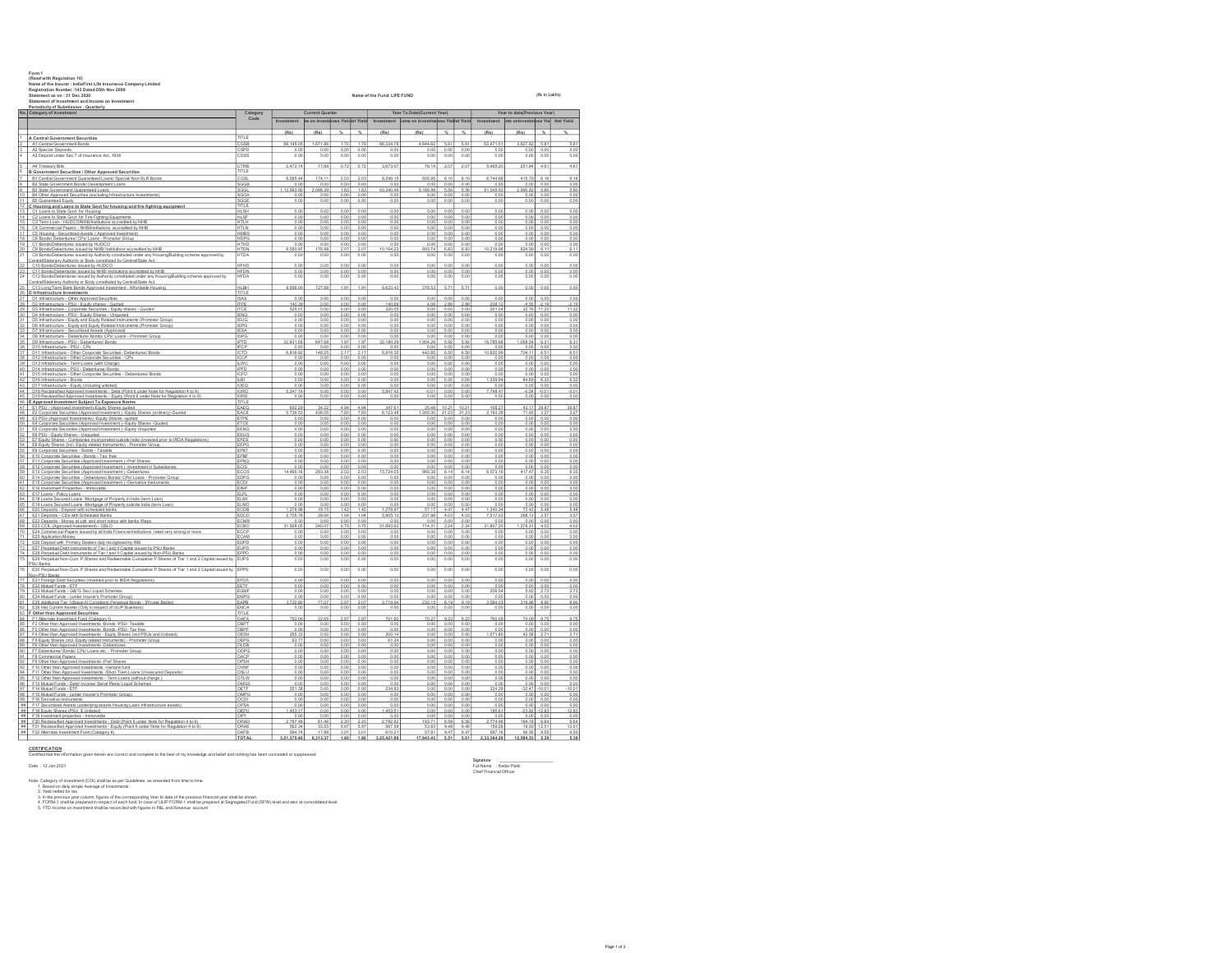|              | Form *<br>(Read with Regulation 10)<br>Name of the Insurer : IndiaFirst Life Insurance Company Limited<br>Registration Number: 143 Dated 05th Nov 2009<br>Statement as on: 31 Dec 2020<br>Statement of Investment and Income on Investment                                                | Name of the Fund: LIFE FUND |                          |                                 |                      |                      |                           |                                               |                      |                            |                           |                             | (Rs in Lakhs)        |                          |  |  |  |  |
|--------------|-------------------------------------------------------------------------------------------------------------------------------------------------------------------------------------------------------------------------------------------------------------------------------------------|-----------------------------|--------------------------|---------------------------------|----------------------|----------------------|---------------------------|-----------------------------------------------|----------------------|----------------------------|---------------------------|-----------------------------|----------------------|--------------------------|--|--|--|--|
|              | Periodicity of Submission : Quarterly<br>No. Category of Investment                                                                                                                                                                                                                       | Category                    | <b>Current Quarter</b>   |                                 |                      |                      |                           | Year To Date(Current Year)                    |                      |                            |                           | Year to date(Previous Year) |                      |                          |  |  |  |  |
|              |                                                                                                                                                                                                                                                                                           | Code                        | Investment               | se on Investimes Yieldlet Yield |                      |                      |                           | Investment come on Investmeloss Yielket Yield |                      |                            | Investment                | me onlovestmnss Yiel        |                      | Net Yield                |  |  |  |  |
|              | A Central Government Securities                                                                                                                                                                                                                                                           | TITLE                       | (R <sub>5</sub> )        | (Rs)                            | $\frac{4}{3}$        | $\gamma_{\rm s}$     | (Rs)                      | (R <sub>5</sub> )                             | $\gamma_{\rm s}$     | $\frac{4}{36}$             | (R <sub>5</sub> )         | (Rs)                        | $\frac{4}{36}$       | 16                       |  |  |  |  |
|              | A1 Central Government Bonds<br>A2 Special Deposits                                                                                                                                                                                                                                        | CGSE<br>CSPD                | 98.145.05<br>0.00        | 1.671.86<br>0.00                | 1.70<br>0.00         | 1.70<br>0.00         | 86.334.78<br>0.00         | 4.844.62<br>0.00                              | 5.61<br>0.00         | 5.61<br>0.00               | 62.471.5<br>0.00          | 3.627.82<br>0.00            | 5.8'<br>0.00         | 5.81<br>0.00             |  |  |  |  |
|              | A3 Deposit under Sec 7 of Insurance Act, 1938                                                                                                                                                                                                                                             | CDSS                        | 0.00                     | 0.00                            | 0.00                 | 0.00                 | 0.00                      | 0.00                                          | 0.00                 | 0.00                       | 0.01                      | 0.00                        | 0.00                 | 0.00                     |  |  |  |  |
|              | A4 Treasury Bills                                                                                                                                                                                                                                                                         | CTRR                        | 2 472 14                 | 17.69                           | 0.72                 | 0.72                 | 3 673 07                  | 76.14                                         | 207                  | 207                        | 5465.20                   | 251.94                      | 4.61                 | 4.61                     |  |  |  |  |
|              | 6 B Government Securities / Other Approved Securities<br>B1 Central Government Guaranteed Loans/ Special/ Non-SLR Bonds                                                                                                                                                                   | TITLE<br>$\overline{\cos}$  | 8,585.44                 | 174.1                           | 2.03                 | 2.03                 | 8,296.15                  | 505.95                                        | 6.10                 | 6.10                       | 6,744.6                   | 415.78                      | 6.16                 | 6.16                     |  |  |  |  |
|              | B2 State Government Bonds/ Development Loans<br>B3 State Government Guaranteed Loans                                                                                                                                                                                                      | SGGB<br>SGGL                | 0.00<br>1,13,993.90      | 0.00<br>2,086.39                | 0.00<br>1.83         | 0.00<br>1.83         | 0.00<br>93.340.49         | 0.00<br>5,186.98                              | 0.00<br>5.56         | 0.00<br>5.56               | 0.0<br>51,545.93          | 0.00<br>2,990.83            | 0.00<br>5.80         | 0.00<br>5.80             |  |  |  |  |
|              | 10   B4 Other Approved Securities (excluding Infrastructure Investments)                                                                                                                                                                                                                  | SGOA                        | o oo                     | 0.00                            | o oo                 | 0.00                 | 0.00                      | 0.00                                          | 0.00                 | 0.00                       | 0.00                      | 0.00                        | 0.00                 | 0.00                     |  |  |  |  |
|              | 11 B5 Guaranteed Equity<br>12 C Housing and Loans to State Govt for housing and fire fighting equipment                                                                                                                                                                                   | SGGE<br>TITLE               | 0.00                     | 0.00                            | 0.00                 | 0.00                 | 0.00                      | 0.00                                          | 0.00                 | 0.00                       | 0.00                      | 0.00                        | 0.00                 | 0.00                     |  |  |  |  |
|              | 13 C1 Loans to State Govt. for Housing<br>14 C2 Loans to State Govt for Fire Fighting Equipments                                                                                                                                                                                          | <b>HLSH</b><br><b>HLSF</b>  | 0.00<br>0.00             | 0.00<br>0.00                    | 0.00<br>0.00         | 0.00<br>0.00         | 0.00<br>0.00              | 0.00<br>0.00                                  | 0.00<br>0.00         | 0.00<br>0.00               | 0.00<br>0.00              | 0.00<br>0.00                | 0.00<br>0.00         | 0.00<br>0.00             |  |  |  |  |
|              | C3 Term Loan - HUDCO/NHB/Institutions accredited by NHB<br>16   C4 Commercial Papers - NHB/Institutions accredited by NHB                                                                                                                                                                 | HTLN                        | 0.00<br>0.00             | 0.01<br>0.00                    | 0.00<br>0.00         | 0.01<br>0.00         | 0.00<br>0.00              | 0.00<br>0.00                                  | 0.0<br>0.00          | 0.0<br>0.00                | 0.01<br>0.00              | 0.00<br>0.00                | 0.00<br>0.00         | 0.00<br>0.00             |  |  |  |  |
|              | 17 C5 Housing - Securitised Assets ( Approved Investment)<br>18   C6 Bonds/ Debentures/ CPs/ Loans - Promotor Group                                                                                                                                                                       | <b>HDPG</b>                 | 0.00<br>0.00             | 0.00<br>0.00                    | 0.00<br>0.00         | 0.00<br>0.00         | 0.00<br>0.00              | 0.00<br>0.00                                  | 0.00<br>0.00         | 0.00<br>0.00               | 0.00<br>0.00              | 0.00<br>0.00                | 0.00<br>0.00         | 0.00<br>0.00             |  |  |  |  |
|              | 19 C7 Bonds/Debentures issued by HUDCO                                                                                                                                                                                                                                                    | HTHD                        | 0.00                     | 0.00                            | 0.00                 | 0.00                 | 0.00                      | 0.00                                          | 0.00                 | 0.00                       | 0.00                      | 0.00                        | 0.00                 | 0.00                     |  |  |  |  |
| $20 -$<br>21 | C8 Bonds/Debentures issued by NHB/ Institutions accredited by NHB<br>C9 Bonds/Debentures issued by Authority constituted under any Housing/Building scheme approved by<br>Central/State/anv Authority or Body constituted by Central/State Act<br>22 C10 Bonds/Debentures issued by HUDCO | HTDN<br>HTDA<br>HFHD        | 8,550.97<br>0.00<br>0.00 | 176.98<br>0.00<br>0.00          | 2.07<br>0.00<br>0.00 | 2.07<br>0.00<br>0.00 | 10.164.23<br>0.00<br>0.00 | 693.74<br>0.00<br>0.00                        | 6.83<br>0.00<br>0.00 | 6.83<br>0.00<br>0.00       | 10.219.98<br>0.00<br>0.00 | 624.56<br>0.00<br>0.00      | 6.11<br>0.00<br>0.00 | 6.11<br>0.00<br>0.00     |  |  |  |  |
|              | 23 C11 Bonds/Debentures issued by NHB/Institutions accredited by NHB<br>24 C12 Bonds/Debentures issued by Authority constituted under any Hous                                                                                                                                            | HFDN                        | $\frac{0.00}{0.00}$      | 0.00                            | 0.00                 | 0.00                 | $\frac{0.00}{0.00}$       | $0.00$<br>$0.00$                              | 0.00                 | 0.00                       | $0.00$<br>$0.00$          | 0.00                        | 0.00                 | $0.00$<br>$0.00$         |  |  |  |  |
|              | C12 Bonds/Debentures issued by Authority constituted under any Housing/Building scheme approved by<br>Central/State/any Authority or Body constituted by Central/State Act.                                                                                                               | <b>HFDA</b>                 |                          |                                 |                      | 0.00                 |                           |                                               | 0.00                 | 0.00                       |                           | 0.00                        | 0.00                 |                          |  |  |  |  |
|              | C13 Long Term Bank Bonds Approved Investment - Affordable Housing<br>26 D Infrastructure Investments                                                                                                                                                                                      | HLBH<br>TITLE               | 6.695.06                 | 127.88                          | 1.91                 | 1.91                 | 6.633.43                  | 378.53                                        | 5.71                 | 5.71                       | 0.00                      | 0.00                        | 0.00                 | 0.00                     |  |  |  |  |
|              | 27   D1 Infrastructure - Other Approved Securities<br>28 D2 Infrastructure - PSU - Equity shares - Quoted                                                                                                                                                                                 | <b>ISAS</b><br><b>ITPE</b>  | 0.00<br>140.39           | 0.00<br>0.00                    | 0.00<br>0.00         | 0.00<br>0.00         | 0.00<br>140.69            | 0.00<br>4.06                                  | 0.00<br>2.89         | 0.00<br>2.89               | 0.00<br>208.12            | 0.00<br>$-4.55$             | 0.00<br>$-2.19$      | 0.00<br>$-2.19$          |  |  |  |  |
| $^{29}$      | D3 Infrastructure - Corporate Securities - Equity shares - Quoted<br>30   D4 Infrastructure - PSU - Equity Shares - Unquoted                                                                                                                                                              | <b>ITCE</b><br><b>IENQ</b>  | 525.01<br>0.00           | 0.00<br>0.00                    | 0.00<br>0.00         | 0.00<br>0.00         | 320.0<br>0.00             | 0.00<br>0.00                                  | 0.00<br>0.00         | 0.00<br>0.00               | 201.0<br>0.00             | 22.76<br>0.00               | 11.32<br>0.00        | 11.32<br>0.00            |  |  |  |  |
|              | 31   D5 Infrastructure - Equity and Equity Related Instruments (Promoter Group)<br>D6 Infrastructure - Equity and Equity Related Instruments (Promoter Group)                                                                                                                             | <b>IFUO</b><br><b>IEPG</b>  | 0.00                     | 0.00<br>0.00                    | 0.00<br>0.00         | 0.00<br>0.00         | 0.00<br>0.00              | 0.00                                          | 0.00<br>0.00         | 0.00<br>0.00               | 0.00                      | 0.00                        | 0.00                 | 0.00<br>0.00             |  |  |  |  |
| 32<br>33     | D7 Infrastructure - Securitised Assets (Approved)                                                                                                                                                                                                                                         | <b>IESA</b>                 | 0.00<br>0.00             | 0.00                            | 0.00                 | 0.00                 | 0.00                      | 0.00<br>0.00                                  | 0.00                 | 0.00                       | 0.00<br>0.00              | 0.00<br>0.00                | 0.00<br>0.00         | 0.00                     |  |  |  |  |
| 34           | D8 Infrastructure - Debenture/ Bonds/ CPs/ Loans - Promoter Group<br>35   D9 Infrastructure - PSU - Debentures/ Bonds                                                                                                                                                                     | <b>IDPG</b><br>IPTD         | 0.00<br>32.931.58        | 0.00<br>647.68                  | 0.00<br>1.97         | 0.00<br>1.97         | 0.00<br>32.180.29         | 0.00<br>1,904.26                              | 0.00<br>5.92         | 0.00<br>5.92               | 0.00<br>16,785.68         | 0.00<br>1.058.54            | 0.00<br>6.31         | 0.00<br>6.31             |  |  |  |  |
| 36           | D10 Infrastructure - PSU - CPs<br>37   D11 Infrastructure - Other Corporate Securities- Debentures/ Bonds                                                                                                                                                                                 | ICTD                        | 0.00<br>6,816.82         | 0.00<br>148.25                  | 0.00<br>2.17         | 0.00<br>2.17         | 0.00<br>6,816.35          | 0.00<br>442.85                                | 0.00<br>6.50         | 0.00<br>6.50               | 0.00<br>10,820.99         | 0.00<br>704.11              | 0.00<br>6.51         | 0.00<br>6.51             |  |  |  |  |
| 39           | 38 D12 Infrastructure - Other Corporate Securities - CPs<br>D13 Infrastructure - Term Loans (with Charge)                                                                                                                                                                                 | ICCP<br><b>ILWC</b>         | o oo<br>0.00             | 000<br>0.00                     | o oo<br>0.00         | 0.00<br>0.00         | 0.00<br>0.00              | 0.00<br>0.00                                  | 0.00<br>0.00         | 0.00<br>0.00               | 0.00<br>0.00              | 0.00<br>0.00                | 00<br>0.00           | 0.00<br>0.00             |  |  |  |  |
|              | 40 D14 Infrastructure - PSU - Debentures/ Bonds<br>41 D15 Infrastructure - Other Corporate Securities<br>D15 Infrastructure - Other Corporate Securities - Debentures/ Bonds                                                                                                              | IPFD<br>ICFD                | 0.00<br>0.00             | 0.00<br>0.00                    | 0.00<br>0.00         | 0.00<br>0.00         | 0.00<br>0.00              | 0.00<br>0.00                                  | 0.00<br>0.01         | 0.00<br>0.00               | 0.00<br>0.00              | 0.00<br>0.00                | 0.00<br>0.00         | $\frac{0.00}{0.00}$      |  |  |  |  |
|              | 42 D16 Infrastructure - Bonds                                                                                                                                                                                                                                                             | II RI                       | 0.00                     | 0.00                            | 0.00                 | 0 <sup>0</sup>       | 0.00                      | 0.00                                          | 0.00                 | 0.00                       | 1.339.94                  | 84.69                       | 6.32                 | 6.32                     |  |  |  |  |
|              | 43 D17 Infrastructure - Equity (including unlisted)<br>44   D18 Reclassified Approved Investments - Debt (Point 6 under Note for Regulation 4 to 9)                                                                                                                                       | IOEQ<br><b>IORD</b>         | 0.00<br>5.247.16         | 0.00<br>0.00                    | 0.00<br>0.00         | 0.00<br>0.00         | 0.00<br>5.847.42          | 0.00<br>$-0.01$                               | 0.00<br>0.00         | 0.00<br>0.00               | 0.00<br>7.748.47          | 0.00<br>$-0.54$             | 0.00<br>$-0.01$      | 0.00<br>$-0.01$          |  |  |  |  |
| 45           | D19 Reclassified Approved Investments - Equity (Point 6 under Note for Regulation 4 to 9)<br>46 E Approved Investment Subject To Exposure Norms                                                                                                                                           | IORE<br><b>TITLE</b>        | 0.00                     | 0.00                            | 0.00                 | 0.00                 | 0.00                      | 0.00                                          | 0.00                 | 0.00                       | 0.00                      | 0.00                        | 0.00                 | 0.00                     |  |  |  |  |
|              | E1 PSU - (Approved Investment)-Equity Shares quoted<br>48   E2 Corporate Securities (Approved Investment ) - Equity Shares (ordinary)-Quoted                                                                                                                                              | EACE                        | 692.29<br>5.736.53       | $\frac{1}{3422}$<br>436.05      | 494<br>7.60          | 4.94<br>7.60         | 347.61<br>6.123.48        | 35,48<br>300.30                               | 10.21<br>21.23       | $\frac{10.21}{x}$<br>21.23 | 108.2<br>2.193.29         | 43.17<br>71.65              | 39.87<br>3.27        | 39.87<br>3.27            |  |  |  |  |
|              | 49 E3 PSU-(Approved Investments) - Equity Shares -quoted<br>50   E4 Corporate Securities (Approved Investment ) - Equity Shares - Quoted                                                                                                                                                  | ETPE<br>ETCE                | 0.00<br>0.00             | 0.00<br>0.00                    | 0.00<br>0.00         | 0.00<br>0.00         | 0.00<br>0.00              | 0.00<br>0.00                                  | 0.00<br>0.00         | 0.00<br>0.00               | 0.00<br>0.00              | 0.00<br>0.00                | 0.00<br>0.00         | 0.00<br>0.00             |  |  |  |  |
|              | 51 E5 Corporate Securities (Approved Investment ) - Equity Unquoted                                                                                                                                                                                                                       | EENO                        | o oo                     | 0.00                            | o oo                 | 0.00                 | 0.00                      | 0.00                                          | 0.00                 | 0.00                       | 0.00                      | 0.00                        | 0.00                 | 0.00                     |  |  |  |  |
| 52           | E6 PSU - Eguity Shares - Unquoted<br>53   E7 Equity Shares - Companies incorporated outside India (invested prior to IRDA Regulations)                                                                                                                                                    | EEUQ<br>EFES                | 0.00<br>0.00             | 0.00<br>0.00                    | 0.00<br>0.00         | 0.00<br>0.00         | 0.00<br>0.00              | 0.00<br>0.00                                  | 0.00<br>0.00         | 0.00<br>0.00               | 0.00<br>0.00              | 0.00<br>0.00                | 0.00<br>0.00         | 0.00<br>0.00             |  |  |  |  |
|              | 54 E8 Equity Shares (incl. Equity related Instruments) - Promoter Group<br>55 E9 Corporate Securities - Bonds - Taxable                                                                                                                                                                   | EEPG<br>EPBT                | 0.00<br>0.00             | 0.00<br>0.00                    | 0.00<br>0.00         | 0.00<br>0.00         | 0.00<br>0.00              | 0.00<br>0.00                                  | 0.00<br>0.00         | 0.00<br>0.00               | $0.00$<br>$0.00$          | 0.00<br>0.00                | 0.00<br>0.00         | 0.00                     |  |  |  |  |
|              | 56 E10 Corporate Securities - Bonds - Tax free<br>57   E11 Corporate Securities (Approved Investment) -Pref Shares                                                                                                                                                                        | EPBF<br>EPNQ                | 0.00<br>0.00             | 0.00<br>0.00                    | 0.00<br>0.00         | 0.00<br>0.00         | 0.00<br>0.00              | 0.00<br>0.00                                  | 0.00<br>0.00         | 0.00<br>0.00               | 0.00<br>0.00              | 0.00<br>0.00                | 0.00<br>0.00         | 0.00<br>0.00             |  |  |  |  |
| 59           | 58   E12 Corporate Securities (Approved Investment) -Investment in Subsidiaries<br>E13 Corporate Securities (Approved Investment) -Debentures                                                                                                                                             | ECIS<br>ECOS                | 0.00<br>14,466.16        | 0.00<br>293.38                  | 0.00<br>2.03         | 0.00<br>2.03         | 0.00<br>15,724.05         | 0.00<br>965.38                                | 0.00<br>6.14         | 0.00<br>6.14               | 0.00<br>6,573.1           | 0.00<br>417.47              | 0.00<br>6.35         | 0.00<br>6.35             |  |  |  |  |
|              | 60   E14 Corporate Securities - Debentures/ Bonds/ CPs/ Loans - Promoter Group<br>61 E15 Corporate Securities (Approved Investment) -Derivative Instruments                                                                                                                               | EDPG<br>ECDI                | 0.00<br>o oo             | 0.00<br>0.00                    | 0.00<br>0.00         | 0.00<br>0.00         | 0.00<br>0.00              | 0.00<br>0.00                                  | 0.00<br>0.00         | 0.00<br>0.00               | 0.00<br>0.00              | 0.00<br>0.00                | 0.00<br>00           | 0.00<br>0.00             |  |  |  |  |
|              | 62 E16 Investment Properties - Immovable                                                                                                                                                                                                                                                  | EINP<br><b>ELPL</b>         | 0.00<br>0.00             | 0.00<br>0.00                    | 0.00<br>0.00         | 0.00<br>0.00         | 0.00<br>0.00              | 0.00<br>0.00                                  | 0.00<br>0.00         | 0.00<br>0.00               | 0.00<br>0.00              | 0.00<br>0.00                | 0.00<br>0.00         | 0.00<br>0.00             |  |  |  |  |
|              | 63 E17 Loans - Policy Loans<br>64 E18 Loans Secured Loans -Mortgage of Property in India (term Loan)                                                                                                                                                                                      | ELMI                        | 0.00                     | 0.00                            | 0.00                 | 0.00                 | 0.00                      | 0.00                                          | 0.00                 | 0.00                       | 0.00                      | 0.00                        | 0.00                 | 0.00                     |  |  |  |  |
| 66           | 65   E19 Loans Secured Loans -Mortgage of Property outside India (term Loan)<br>E20 Deposits - Deposit with scheduled banks                                                                                                                                                               | ELMO<br>ECDB                | 0.00<br>1,278.98         | 0.00<br>18.15                   | 0.00<br>1.42         | 0.00<br>1.42         | 0.00<br>1,278.97          | 0.00<br>57.17                                 | 0.00<br>4.47         | 0.00<br>4.47               | 0.00<br>1,340.34          | 0.00<br>73.43               | 0.00<br>5.48         | 0.00<br>5.48             |  |  |  |  |
|              | 67 E21 Deposits - CDs with Scheduled Banks<br>68 E22 Deposits - Money at call and short notice with banks /Repo                                                                                                                                                                           | EDCD<br><b>FCMR</b>         | 2.705.78<br>o oo         | 28.06<br>0.00                   | 1.04<br>0.00         | 1.04<br>0.00         | 5,905.13<br>0.00          | 237.88<br>0.00                                | 4.03<br>0.00         | 4.03<br>0.00               | 7.517.03<br>0.00          | 268.12<br>0.00              | 3.57<br>0.00         | 3.57                     |  |  |  |  |
|              | 69 E23 CCIL (Approved Investement) - CBLO<br>70   E24 Commercial Papers issued by all India Financial Institutions rated very strong or more                                                                                                                                              | ECBO<br>ECCP                | 31,928.05<br>0.00        | 240.07<br>0.00                  | 0.75<br>0.00         | 0.75<br>0.00         | 31,893.62<br>0.00         | 714.31<br>0.00                                | 2.24<br>0.00         | 2.24<br>0.00               | 31,807.20<br>0.00         | 1,278.21<br>0.00            | 4.02<br>0.00         | $0.00$<br>$4.02$<br>0.00 |  |  |  |  |
| 71           | E25 Application Money<br>72 E26 Decosit with Primary Dealers duly recognised by RBI                                                                                                                                                                                                       | <b>ECAM</b><br>EDPD         | 0.00<br>0.00             | 0.00<br>0.00                    | 0.00<br>0.00         | 0.00<br>0.00         | 0.00<br>0.00              | 0.00<br>0.00                                  | 0.00<br>0.00         | 0.00<br>0.00               | 0.00<br>0.00              | 0.00<br>0.00                | 0.00<br>0.00         | 0.00<br>0.00             |  |  |  |  |
|              | 73 E27 Perpetual Debt Instruments of Tier I and Il Capital issued by PSU Banks<br>74 E28 Perpetual Debt Instruments of Tier I and Il Capital issued by Non-PSU Banks                                                                                                                      | EUPD                        | 0.00                     | 0.00                            | 0.00                 | 0.00                 | 0.00                      | 0.00                                          | 0.00                 | 0.00                       | 0.00                      | 0.00                        | 0.00                 | 0.00                     |  |  |  |  |
| 75           | E29 Perpetual Non-Cum. P.Shares and Redeemable Cumulative P.Shares of Tier 1 and 2 Capital issued by                                                                                                                                                                                      | EPPD<br>EUPS                | 0.00<br>0.00             | 0.00<br>0.00                    | 0.00<br>0.00         | 0.00<br>0.00         | 0.00<br>0.00              | 0.00<br>0.00                                  | 0.00<br>0.00         | 0.00<br>0.00               | 0.00<br>0.00              | 0.00<br>0.00                | 0.00<br>0.00         | 0.00<br>0.00             |  |  |  |  |
| 76           | PSU Banks<br>E30 Perpetual Non-Cum, P.Shares and Redeemable Cumulative P.Shares of Tier 1 and 2 Capital issued by<br>Non-PSU Banks                                                                                                                                                        | EPPS                        | 0.00                     | 0.00                            | 0.00                 | 0.00                 | 0.00                      | 0.00                                          | 0.00                 | 0.00                       | 0.00                      | 0.00                        | 0.00                 | 0.00                     |  |  |  |  |
| 78           | 77 E31 Foreign Debt Securities (Invested prior to IRDA Regulations)<br>E32 Mutual Funds - ETF                                                                                                                                                                                             | EFDS<br>EETF                | 0.00<br>0.00             | 0.00<br>0.00                    | 0.00<br>0.00         | 0.00<br>0.00         | 0.00<br>0.00              | 0.00<br>0.00                                  | 0.00<br>0.00         | 0.00<br>0.00               | 0.00<br>0.01              | 0.00<br>0.00                | 0.00<br>0.00         | 0.00<br>0.00             |  |  |  |  |
|              | 79 E33 Mutual Funds - Gilt/ G Sec/ Liquid Schemes<br>80 E34 Mutual Funds - (under Insurer's Promoter Group)                                                                                                                                                                               | EGM<br>EMPG                 | 0.00<br>0.00             | 0.00<br>0.00                    | 0.00<br>0.00         | 0.00<br>0.00         | 0.00<br>0.00              | 0.00<br>0.00                                  | 0.00<br>0.00         | 0.00<br>0.00               | 206.54<br>0.00            | 5.62<br>0.00                | 2.72<br>000          | 2.72<br>0.00             |  |  |  |  |
|              | 81   E35 Additional Tier 1(Basel III Compliant) Perpetual Bonds - [Private Banks]<br>E36 Net Current Assets (Only in respect of ULIP Business)                                                                                                                                            | EAPB<br>ENCA                | 3,722.80<br>0.00         | 77.07<br>0.00                   | 2.07<br>0.00         | 2.07<br>0.00         | 3,719.94<br>0.00          | 230.15<br>0.00                                | 6.19<br>0.00         | 6.19<br>0.00               | 3,594.03<br>0.01          | 319.88<br>0.00              | 8.90<br>0.00         | 8.90<br>0.00             |  |  |  |  |
|              | F Other than Approved Securities<br>84 F1 Alternate Investment Fund (Category I)                                                                                                                                                                                                          | OAFA                        | 763.06                   | 22.65                           | 2.97                 | 2.97                 | 761.60                    | 70.27                                         | 9.23                 | 9.23                       | 760.09                    | 74.08                       | 9.75                 | 9.75                     |  |  |  |  |
|              | F2 Other than Approved Investments -Bonds -PSU- Taxable                                                                                                                                                                                                                                   |                             |                          |                                 |                      |                      |                           |                                               | 0.0                  |                            | 0.0                       | 0.01                        |                      | 0.00                     |  |  |  |  |
|              | 86   F3 Other than Approved Investments -Bonds -PSU- Tax free<br>87 F4 Other than Approved Investments - Equity Shares (incl PSUs and Unlisted)                                                                                                                                           | OBPF<br>OESH                | 0.00<br>255.33           | 0.00<br>0.00                    | 0.00<br>0.00         | 0.00<br>0.00         | 0.00<br>200.14            | 0.00<br>0.00                                  | 0.00<br>0.00         | 0.00<br>0.00               | 0.00<br>1.571.80          | 0.00<br>42.58               | 0.00<br>2.71         | 0.00<br>2.71             |  |  |  |  |
|              | 88   F5 Equity Shares (incl. Equity related Instruments) - Promoter Group<br>89   F6 Other than Approved Investments -Debentures                                                                                                                                                          | OEPG<br>OLDB                | 63.77<br>0.00            | 0.00<br>0.00                    | 0.00<br>0.00         | 0.00<br>0.00         | 61.34<br>0.00             | 0.00<br>0.00                                  | 0.00<br>0.00         | 0.00<br>0.00               | 0.00<br>0.00              | 0.00<br>0.00                | 0.00<br>0.00         | 0.00<br>0.00             |  |  |  |  |
|              | 90 F7 Debentures/ Bonds/ CPs/ Loans etc. - Promoter Group<br>91 F8 Commercial Papers                                                                                                                                                                                                      | ODPG<br><b>OACP</b>         | 0.00<br>0.00             | 0.00<br>0.00                    | 0.00<br>0.00         | 0.00<br>0.00         | 0.00<br>0.00              | 0.00<br>0.00                                  | 0.00<br>0.00         | 0.00<br>0.00               | 0.00<br>0.00              | 0.00<br>0.00                | 0.00<br>0.00         | 0.00<br>0.00             |  |  |  |  |
| 92           | F9 Other than Approved Investments - Pref Shares<br>93   F10 Other than Approved Investments -Venture fund                                                                                                                                                                                | OVNE                        | 0.00<br>0.00             | 0.00                            | 0.00                 | 0.01<br>0.00         | 0.01<br>0.00              | 0.00<br>0.00                                  | 0.0<br>0.00          | 0.00                       | 0.0<br>0.00               | 0.00                        | 0.00                 | 0.00<br>0.00             |  |  |  |  |
|              | 94 F11 Other than Approved Investments -Short Trem Loans (Unsecured Deposits)                                                                                                                                                                                                             | OSLU                        | 0.00                     | 0.00                            | 0.00                 | 0.00                 | 0.00                      | 0.00                                          | 0.00                 | 0.00                       | 0.00                      | 0.00                        | 0.00                 | 0.00                     |  |  |  |  |
|              | 95   F12 Other than Approved Investments - Term Loans (without charge )<br>96   F13 Mutual Funds - Debt/ Income/ Serial Plans/ Liquid Schemes                                                                                                                                             | OTLW<br>OMGS                | 0.00<br>0.00             | 0.00<br>0.00                    | 0.00<br>0.00         | 0.00<br>0.00         | 0.00<br>0.00              | 0.00<br>0.00                                  | 0.00<br>0.00         | 0.00<br>0.00               | 0.00<br>0.00              | 0.00<br>0.00                | 0.00<br>0.00         | 0.00<br>0.00             |  |  |  |  |
| 98           | 97 F14 Mutual Funds - ETF<br>F15 Mutual Funds - (under Insurer's Promoter Group)                                                                                                                                                                                                          | OETF<br>OMPG                | 251.38<br>0.00           | 0.00<br>0.00                    | 0.00<br>0.00         | 0.00<br>0.00         | 234.83<br>0.00            | 0.00<br>0.00                                  | 0.00<br>0.00         | 0.00<br>0.00               | 324.28<br>0.00            | $-32.47$<br>0.00            | $-10.01$<br>0.00     | 10.01<br>0.00            |  |  |  |  |
| 99           | F16 Derivative Instruments<br>##   F17 Securitised Assets (underlying assets Housing Loan/ Infrastructure assets)                                                                                                                                                                         | OCD<br>OPSA                 | 0.00<br>0.00             | 0.00<br>0.00                    | 0.00<br>0.00         | 0.01<br>0.00         | 0.00<br>0.00              | 0.00<br>0.00                                  | 0.01<br>0.00         | 0.00<br>0.00               | 0.01<br>0.00              | 0.00<br>0.00                | 0.00<br>0.00         | 0.00<br>0.00             |  |  |  |  |
|              | ## F18 Equity Shares (PSU \$ Unlisted).<br>## F19 Investment properties - Immovable                                                                                                                                                                                                       | OEPU<br>OIPI                | 1 453 17<br>0.00         | 0.00<br>0.00                    | 0.00<br>0.00         | 0.00<br>0.00         | 1.453.51<br>0.00          | 0.00<br>0.00                                  | 0.00<br>0.00         | 0.00<br>0.00               | 185.61<br>0.00            | 23.82<br>0.00               | .12.83<br>0.00       | 12.83<br>0.00            |  |  |  |  |
|              | ## F20 Reclassified Approved Investments - Debt (Point 6 under Note for Regulation 4 to 9)<br>F21 Reclassified Approved Investments - Equity (Point 6 under Note for Regulation 4 to 9)                                                                                                   | ORAD<br>ORAE                | 2.797.48<br>562.34       | 61.46<br>33.55                  | 2.20<br>5.97         | 2.20<br>5.97         | 2.792.92<br>567.58        | 183.71<br>53.83                               | 6.58<br>9.48         | 6.58<br>9.48               | 2.774.66<br>159.28        | 184.18<br>19.92             | 6.64<br>12.51        | 6.64<br>12.51            |  |  |  |  |
|              | ## F22 Alternate Investment Fund (Category II)                                                                                                                                                                                                                                            | <b>OAFB</b><br><b>TOTA</b>  | 594.74<br>1,375.40       | 17.88<br>13.37                  | 3.01                 | 3.01<br>1.80         | 610.21<br>421.8           | 57.81<br>43.43                                | 9.47<br>5.51         | 9.47<br>5.51               | 697.16<br>364.2           | 66.56<br>584.53             | 9.55<br>5.39         | 9.55<br>5.39             |  |  |  |  |

**CERTIFICATION**<br>Certified that the info

Sionature : .<br>Sin 2021 Full Name : Kedar Patki<br>Chief Financial Officer

Note. Cesapor d'investient (CO) shal e as per Guidelines, as amended from time to time<br>- 2. Vistal restours per columna d'investience de vis de comparabilitat de l'investigate shall se show.<br>- 2. Vistal restours per compar

ration given herein are correct and complete to the best of my knowledge and belief and nothing has been concealed or suppressed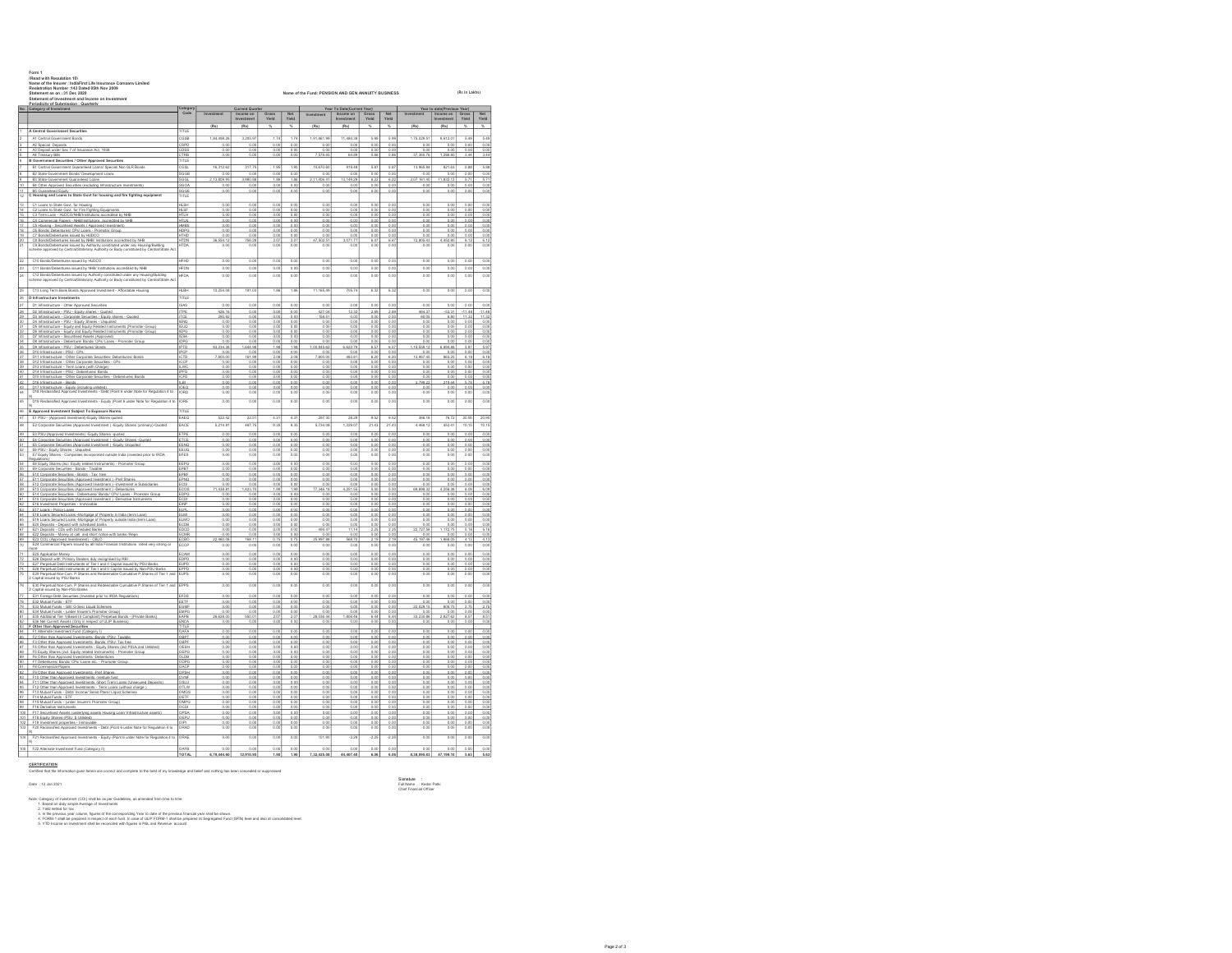| B5 Guaranteed Eouty<br>16<br>18<br>egulations)<br>R1<br>87    | Periodicity of Submission : Quarterly<br>Category of Investment<br>A Central Government Securities<br>A1 Central Government Bon                                                                                                                    | atego                              |                          |                         |                          |                         |                        | Year To Date(C          |                     |                          |                           | Year to date(Prev       |                      |  |
|---------------------------------------------------------------|----------------------------------------------------------------------------------------------------------------------------------------------------------------------------------------------------------------------------------------------------|------------------------------------|--------------------------|-------------------------|--------------------------|-------------------------|------------------------|-------------------------|---------------------|--------------------------|---------------------------|-------------------------|----------------------|--|
|                                                               |                                                                                                                                                                                                                                                    |                                    |                          | Current Qu              | Gross<br>Yield           | Net<br>Yield            | Investment             | Investm                 | Gross<br>Yield      | Net<br>Yield             |                           | Investm                 | Gross<br>Yield       |  |
|                                                               |                                                                                                                                                                                                                                                    | $\overline{\text{min}}$            | (Rs)                     | (Rs)                    |                          | ×.                      | (Rs)                   | (Ra)                    |                     | ×.                       | (Rs)                      | (Ra)                    | ×.                   |  |
|                                                               |                                                                                                                                                                                                                                                    | CGSB                               | 1,84,498.26              | 3,205.97                | 1.74                     | 1.74                    | 1,91,861.99            | 11,484.30               | 5.99                | 5.99                     | 1,75,029.5                | 9,612.0                 | 5.49                 |  |
|                                                               | 42 Snorial Dannell<br>A3 Deposit under Sec 7 of Insurance Act, 1938                                                                                                                                                                                | 3PD<br><u>:DGS</u>                 | 0.01<br>0.00             | 0.00                    | 0.00<br>0.00             | 0.00<br>0.00            | 0 <sup>2</sup><br>0.00 | $\sim$ $\sim$<br>0.00   | 0.06<br>0.00        | 0 <sup>0</sup><br>0.00   | $\overline{0}$<br>0.01    | 0.00<br>0.00            | 0.00<br>0.00         |  |
|                                                               | A4 Treasury Bills<br>B Government Securities / Other Approved Securities                                                                                                                                                                           | CTRB<br>TITLE                      | 0.00                     | 0.00                    | 0.00                     | 0.00                    | 7,578.65               | 64.89                   | 0.86                | 0.86                     | 37, 365.74                | 286.80                  | 3.44                 |  |
|                                                               | B1 Central Government Guaranteed Loans/ Special/ Non-SLR Bonds                                                                                                                                                                                     | <b>SOP</b>                         | 16.312.63                | 317.75                  | 1.95                     | 1.95                    | 15.670.60              | 919.48                  | 5.87                | 5.87                     | 13.965.84                 | 821.63                  | 5.88                 |  |
|                                                               | B2 State Government Bonds/ Development Loans<br>B3 State Government Guaranteed Loans                                                                                                                                                               | <b>SGGB</b>                        | 0.00<br>2,13,809.9       | 0.00<br>3,980.88        | 0.00<br>1.86             | 0.00<br>1.86            | 0.00<br>2.11,406.41    | 0.00<br>13,149.2        | 0.00<br>6.22        | 0.00<br>6.22             | 0.00<br>2,07,161.4        | 0.00<br>11,832.13       | 0.00<br>57           |  |
|                                                               | B4 Other Approved Securities (excluding Infrastructure Investments)                                                                                                                                                                                | SGOA                               | 0.00                     | 0.00                    | 0.00                     | 0.00                    | 0.00                   | 0.00                    | 0.00                | 0.00                     | 0.00                      | 0.00                    | 0.00                 |  |
|                                                               | C Housing and Loans to State Govt for housing and fire fighting equipment                                                                                                                                                                          | <b>BGGE</b><br>TITLE               | 0.00                     | 0.00                    | 0.00                     | 0.00                    | 0.00                   | 0.00                    | 0.00                | 0.00                     | 0.01                      | 0.00                    | 0.00                 |  |
|                                                               | C1 Loans to State Govt. for Housing                                                                                                                                                                                                                | H SH                               | 0.00                     | 0.00                    | 0.00                     | 0.00                    | 0.00                   | 0.01                    | 0.00                | 0.OO                     | 0.01                      | 0.00                    | 0.00                 |  |
|                                                               | C2 Loans to State Govt, for Fire Fighting Equipments<br>C3 Term Loan - HJDCO/NHB/Institutions accredited by NH                                                                                                                                     | <b>HLSE</b><br><b>HTLH</b>         | 0.00<br>0.00             | 0.00<br>0.00            | 0.00<br>0.00             | 0.00<br>0.00            | 0.00<br>0.00           | 0.00<br>0.00            | 0.00<br>0.00        | 0.00<br>0.00             | 0.00<br>0.01              | 0.00<br>0.00            | 0.00<br>0.00         |  |
|                                                               | C4 Commercial Papers - NHB/Institutions accredited by NHB<br>C5 Housing - Securitised Assets ( Approved Investment)                                                                                                                                | <b>HTLN</b><br>HMRS                | 0.00<br>0.00             | 0.00<br>0.00            | 0.00<br>0.00             | 0.00<br>0.00            | 0.00<br>0.00           | 0.00<br>0.00            | 0.00<br>0.00        | 0.00<br>0.00             | 0.00<br>0.00              | 0.00<br>0.00            | 0.00<br>0.00         |  |
|                                                               | C6 Bonda/ Debenturea/ CPs/ Loans - Promotor Group                                                                                                                                                                                                  | <b>HDPG</b><br><b>HTHD</b>         | 0.00<br>0.00             | 0.00                    | 0.00                     | 0.00<br>0.00            | 0.00                   | 0.00                    | 0.00                | 0.00                     | 0.00                      | 0.00<br>0.00            | 0.00                 |  |
|                                                               | C7 Bonds/Debentures issued by HUDCO<br>C8 Bonds/Debentures issued by NHB/ Institutions accredited by NHB                                                                                                                                           | <b>HTDN</b>                        | 36 554.12                | 0.00<br>756.28          | 0.00<br>2.07             | 2.07                    | 0.00<br>47,502.51      | 0.00<br>3,071.77        | 0.00<br>6.47        | 0.00<br>6.47             | 0.00<br>72,805.43         | 4,452.80                | 0.00<br>6.12         |  |
|                                                               | C9 Bonds/Debentures issued by Authority constituted under any Housing/Building<br>cheme approved by Central/State/any Authority or Body constituted by Central/State Ac                                                                            | <b>HTDA</b>                        | 0.0                      | 0.0                     | 0.0                      | 0.0                     | 0.00                   | 0.0                     | 0.0                 | 0.00                     | 0.01                      | 0.0                     | 0.0                  |  |
|                                                               | C10 Bonds/Debentures issued by HJDCO                                                                                                                                                                                                               | $\overline{H}$                     | 0.0                      | 0.00                    | 0.00                     | 0.00                    | 0.00                   | $\overline{000}$        | 0.0                 | 0.00                     | 0.01                      | 0.00                    | 0.01                 |  |
|                                                               | C11 Bonds/Debertures issued by NHB/ Institutions accredited by NHB                                                                                                                                                                                 | HFDN                               | 0.0                      | 0.00                    | 0.01                     | 0.00                    | 0.00                   | 0.01                    | 0.0                 | 0.00                     | 0.01                      | 0.00                    | 0.0                  |  |
|                                                               | C12 Bonds/Debentures issued by Authority constituted under any Housing/Building<br>cheme approved by Central/State/any Authority or Body constituted by Central/State A                                                                            | <b>HFDA</b>                        | 0.00                     | 0.00                    | 0.00                     | 0.00                    | 0.00                   | 0.00                    | 0.00                | 0.00                     | 0.01                      | 0.00                    | 0.00                 |  |
|                                                               |                                                                                                                                                                                                                                                    |                                    |                          |                         |                          |                         |                        |                         |                     |                          |                           |                         |                      |  |
|                                                               | C13 Long Term Bank Bonds Approved Investment - Affordable Housing                                                                                                                                                                                  | <b>HLBH</b><br>TITLE               | 10,254.0                 | 191.03                  | 1.86                     | 1.86                    | 11,165.49              | 705.74                  | 6.32                | 6.32                     | 0.00                      | 0.00                    | 0.00                 |  |
|                                                               | D Infrastructure Investments<br>D1 Infrastructure - Other Appro<br>d Securities                                                                                                                                                                    | <b>SAS</b>                         | 0.0                      | 0.0                     | 0.0                      | 0.00                    | 0.0                    | 0.0                     | 0.0                 | 0.00                     | 0.0                       | 0.00                    | 0.0                  |  |
|                                                               | D2 Infrastructure - PSU - Equity shares - Quoted                                                                                                                                                                                                   | <b>TPE</b>                         | 426.16                   | 0.00                    | 0.00                     | 0.00                    | 427.04                 | 12.3                    |                     | 2.89                     | 464.3                     | 53.31                   | $-11.48$             |  |
|                                                               | D3 Infrastructure - Corporate Securities - Equity shares - Quoted<br>D4 Infrastructure - PSU - Equity Shares - Unquoted                                                                                                                            | TCS<br><b>IENQ</b>                 | 290.92<br>0.00           | 0.00<br>0.00            | 0.00<br>0.00             | 0.00<br>0.00            | 158.51<br>0.00         | 0.00<br>0.00            | 0.00<br>0.00        | 0.00<br>0.00             | 60.0<br>0.00              | 6.80<br>0.00            | 11.32<br>0.00        |  |
|                                                               | D5 Infrastructure - Equity and Equity Related Instruments (Promoter Group)                                                                                                                                                                         | <b>IEUO</b><br><b>IEPO</b>         | 0.00<br>0.0              | 0.00<br>0.00            | 0.00<br>0.00             | 0.00<br>0.00            | 0.00<br>0.08           | 0.00<br>0.00            | 0.00<br>0.00        | 0.00                     | 0.00<br>0.0               | 0.00<br>0.00            | 0.00<br>0.00         |  |
|                                                               | Communication - Couldy and Couldy Related Instruments (Promoter Group)<br>DS Infrastructure - Securitised Assets (Approved)<br>DS Infrastructure - Securitised Assets (Approved)<br>DS Infrastructure - Debenture/ Bondal CPal Loans -             |                                    | 0.0                      | 0.00                    | 0.00                     | 0.00                    | 0.00                   | $\frac{0.05}{0.05}$     | 0.00                | $\frac{0.00}{0.00}$      | 0.01                      |                         |                      |  |
|                                                               | D9 Infrastructure - PSU - Debentures/ Bonds                                                                                                                                                                                                        | <b>IPTD</b>                        | 83, 234, 36              | 1,644.98                | 1.98                     | 0.00<br>1.98            | 1,00,845.62            | 6,622.79                | 0.0<br>6.57         | 6.57                     | 1,15,559.12               | 6,894.88                | 5.97                 |  |
|                                                               | D10 Infrastructure - PSU - CPs<br>D11 Infrastructure - Other Corporate Securities- Debentures/ Bonda                                                                                                                                               | <b>IPOS</b>                        | 0.00<br>mm               | 0.00<br>161.99          | 0.00<br>2.08             | 0.00<br>2.08            | 0.00<br>7 ann or       | 0.00<br>483.81          | 0.00<br>6.20        | 0.00<br>6 X              | 0.00<br>13, 967.45        | 0.00<br>863.25          | 0.00<br>6.18         |  |
|                                                               | D12 Infrastructure - Other Corporate Securities - CPs<br>D13 Infrastructure - Term Loans (with Charge)                                                                                                                                             | <b>CCP</b><br>LWC                  | 0.00                     | 0.00                    | 0.00                     | 0.00                    | 0.0<br>0.00            | 0.00                    | 0.00                | 0.00<br>0.00             | 0.01                      | 0.00                    | 0.00                 |  |
|                                                               | D14 Infrastructure - PSU - Debentures/ Bonds<br>D15 Infrastructure - Other Corporate Securities - Debentures/ Bonds                                                                                                                                | IPFD<br><b>ICED</b>                | 0.00<br>0.00             | 0.00<br>0.00            | 0.00<br>0.00             | 0.00<br>0.00            | 0.00<br>0.00           | 0.00<br>0.00            | 0.00<br>0.00        | 0.00<br>0.00             | 0.00<br>0.00              | 0.00<br>0.00            | 0.00<br>0.00         |  |
|                                                               | D16 Infrastructure - Bonds                                                                                                                                                                                                                         | ILB                                | 0.00                     | 0.00                    | 0.00                     | 0.00                    | 0.00                   | 0.00                    | 0.00                | 0.00                     | 3.799.22                  | 219.44                  | 5.78                 |  |
|                                                               | D17 Infrastructure - Equity (including unlisted)<br>D18 Reclassified Approved Investments - Debt (Point 6 under Note for Requisition 4 to                                                                                                          | IOEO<br>IORD                       | $rac{0.00}{0.00}$        | 0.00                    | $\frac{0.00}{0.00}$      | $\frac{0.00}{0.00}$     | $rac{0.00}{0.00}$      | $\frac{0.00}{0.00}$     | 0.00000             | $\frac{0.00}{0.00}$      | $\frac{0.01}{0.01}$       | $rac{0.00}{0.00}$       | 0.00                 |  |
|                                                               | D19 Reclassified Approved Investments - Equity (Point 6 under Note for Regulation 4 to                                                                                                                                                             | $\overline{\overline{\text{ORE}}}$ | 0.0                      | 0.0                     | 0.0                      | 0.00                    | 0.00                   | 0.00                    | 0.00                | 0.00                     | 0.0                       | 0.00                    | 0.0                  |  |
|                                                               | E Approved Investment Subject To Exposure Norms                                                                                                                                                                                                    | TITLE                              |                          |                         |                          |                         |                        |                         |                     |                          |                           |                         |                      |  |
|                                                               | E1 PSU - (Approved Investment)-Equity Shares quoted                                                                                                                                                                                                | EAEO                               | 522.43                   | 22.51                   | 4.31                     | 4.31                    | 207.3                  | 28.29                   | 9.52                | 9.62                     | 366.18                    | 76.72                   | 20.95                |  |
|                                                               | E2 Corporate Securities (Approved Investment ) -Equity Shares (ordinary)-Quote                                                                                                                                                                     | EACE                               | 5,214.8                  | 487.79                  | 9.35                     | 9.35                    | 5,734.08               | 1,229.07                | 21.43               | 21.43                    | 4,468.13                  | 453.41                  | 10.15                |  |
|                                                               | E3 PSU-(Approved Investments) - Equity Shares -quoted<br>E4 Corporate Securities (Approved Investment ) - Equity Shares -Quoted                                                                                                                    | ETPE<br>ETCE                       | 0.00<br>0.00             | 0.00<br>0.00            | 0.00<br>0.00             | 0.00<br>0.00            | 0.00<br>0.00           | 0.00<br>0.00            | 0.00<br>0.00        | 0.00<br>0.00             | 0.00<br>0.00              | 0.00<br>0.00            | 0.00<br>0.00         |  |
|                                                               |                                                                                                                                                                                                                                                    | FMS                                |                          |                         |                          |                         |                        |                         |                     |                          |                           |                         |                      |  |
|                                                               | ES Corporate Securities (Approved Investment ) - Equity Unquoted<br>ES PSU - Equity Shares - Unquoted<br>ES PSU - Equity Shares - Unquoted<br>E7 Equity Shares - Companies incorporated outside India (invested prior to IRDA                      | EEUQ<br>EFES                       | 0.00000                  | 0.00                    | $\frac{0.00}{0.00}$      | 0.00                    | 0.00000                | $rac{0.00}{0.00}$       | 0.00000             | $0.00$<br>$0.00$         | 0.0000                    | $0.00$<br>0.00          | 0.00000              |  |
|                                                               | E8 Equity Shares (incl. Equity related Instruments) - Promoter Group                                                                                                                                                                               | EEPG                               | 0.00                     | 0.00                    | 0.00                     | 0.00                    | 0.00                   | 0.00                    | 0.00                | 0.00                     | 0.00                      | 0.00                    | 0.00                 |  |
|                                                               | E9 Corporate Securities - Bonds - Taxable<br>E10 Corporate Securities - Bonds - Tax free                                                                                                                                                           | EPBT<br>EPBF                       | 0.00<br>0.00             | 0.00<br>0.00            | 0.00<br>0.00             | 0.00<br>0.00            | 0.00<br>0.00           | 0.00<br>0.00            | 0.00<br>0.00        | 0.00<br>0.00             | 0.00<br>0.00              | 0.00<br>0.00            | 0.00<br>0.00         |  |
|                                                               | E11 Corporate Securities (Approved Investment ) -Pref Shares<br>E12 Corporate Securities (Approved Investment ) -Investment in Subs                                                                                                                | FPNO                               | 0.00                     | 0.00                    | 0.00<br>$\frac{1}{0.00}$ | 0.00<br>0.0             | 0.00                   | 0.00                    | 0.00<br>0.00        | 0.00                     | 00<br>$^{0.0}$            | 0.00                    | 0.00                 |  |
|                                                               | E13 Corporate Securities (Approved Investment ) -Debentures                                                                                                                                                                                        | ECO <sub>5</sub>                   | $\frac{0.00}{71,438.81}$ | $\frac{0.00}{1,423.70}$ | 1.99                     | 1.99                    | 77,346.18              | $\frac{0.00}{4,251.55}$ | 5.50                | 5.50                     | 69,898.32                 | $\frac{0.00}{4,258.38}$ | 6.09                 |  |
|                                                               | E14 Corporate Securities - Debentures/ Bonds/ CPs/ Loans - Promoter Group<br>E15 Corporate Securities (Approved Investment ) -Derivative Instruments                                                                                               | EDPG<br>ECD                        | 0.00<br>0.00             | 0.00<br>0.00            | 0.00<br>0.00             | 0.00<br>0.00            | 0.00<br>0.00           | 0.00<br>0.00            | 0.00<br>0.00        | 0.00<br>0.00             | 0.00<br>0.00              | 0.00<br>0.00            | 0.00<br>0.00         |  |
|                                                               | E16 Investment Properties - Immovable<br>E17 Leans - Policy Leans<br>E18 Investment Properties - Immovable<br>E18 Leans Secured Leans - Mortgage of Property in India (term Lean)                                                                  | EINF                               | 0.0                      | 0.00                    | 0.00                     | 0.00                    | 0.00                   | 0.00                    | 0.00                | 0.00                     | 0.0                       | 0.00                    | 0.00                 |  |
|                                                               |                                                                                                                                                                                                                                                    | ELMO                               | 0.01                     | 0.00                    | 0.00                     | 0.00                    | $rac{0.00}{0.00}$      | $\frac{0.0}{0.00}$      | 0.01                | $\frac{0.00}{0.00}$      | 0.01                      | 0.00                    |                      |  |
|                                                               | E19 Loans Secured Loans -Mortgage of Property outside India (term Loan)<br>E20 Deposits - Deposit with scheduled banks                                                                                                                             | ECDB                               | 0.00<br>0.00             | 0.00<br>0.00            | 0.00<br>0.00             | 0.00<br>0.00            | 0.00<br>0.00           | 0.00<br>0.00<br>11.14   | 0.00<br>0.00        | 0.00<br>0.00             | 0.00<br>0.00<br>22 727 51 | 0.00<br>0.00            | 0.00<br>0.00<br>5.16 |  |
|                                                               | E21 Deposits - CDs with Scheduled Banks                                                                                                                                                                                                            | EDCE<br>CMR <sup></sup>            | 0.00<br>0 <sup>0</sup>   | 0.00<br>0.00            | 0.00<br>0.00             | 0.00<br>0.00            | 494.47<br>0.00         |                         | 22<br>00            | 22<br>0.00               | 0 <sub>0</sub>            | 1.172.75<br>0.00        | 000                  |  |
|                                                               | Let use posses " use was used and short notice with banks (Repo.<br>E23 Deposits - Money at call and short notice with banks (Repo.<br>E24 Commercial Papers issued by all India Financial Institutions nated very strong or                       | CBO<br>CCP                         | 0.04                     | $\frac{168.11}{0.00}$   | $\frac{0.75}{0.00}$      | $\frac{0.75}{0.00}$     | 25.997.88<br>0.00      | $rac{0.00}{0.00}$       | $\frac{2.15}{0.00}$ | $\frac{2.19}{0.00}$      | 45, 197.4<br>0.0          | 68.0<br>0.00            | $\frac{4.15}{0.00}$  |  |
|                                                               | E25 Application Money                                                                                                                                                                                                                              | ECAM                               | 0.00                     | 0.00                    | 0.00                     | 0.00                    | 0.00                   | 0.00                    | 0.00                | 0.00                     | 0.00                      | 0.00                    | 0.00                 |  |
|                                                               | E26 Deposit with Primary Dealers duly recognised by RBI<br>E27 Perpetual Debt Instruments of Tier I and II Capital issued by PSU Banks                                                                                                             | EDPD<br>EUPD                       | 0.00<br>0.00             | 0.00<br>0.00            | 0.00<br>0.00             | 0.00<br>0.00            | 0.00<br>0.00           | 0.00<br>0.00            | 0.00<br>0.00        | 0.00<br>0.00             | 0.00<br>0.00              | 0.00<br>0.00            | 0.00<br>0.00         |  |
|                                                               | E28 Perpetual Dabt Instruments of Tier I and II Capital issued by Non-PSU Banks<br>E29 Perpetual Non-Cum, P.Shares and Redeemable Cumulative P.Shares of Tier 1 and                                                                                | EPPD                               | $rac{0.00}{0.00}$        | $\frac{0.00}{0.00}$     | $rac{0.00}{0.00}$        | $\frac{0.00}{0.00}$     | $rac{0.00}{0.00}$      | $\frac{0.00}{0.00}$     | $rac{0.00}{0.00}$   | $\frac{0.00}{0.00}$      | 0.01                      | 0.00                    | 0.00                 |  |
|                                                               |                                                                                                                                                                                                                                                    | EUPS                               |                          |                         |                          |                         |                        |                         |                     |                          | 0.01                      | 0.00                    | 0.0                  |  |
|                                                               | E30 Perpetual Non-Cum. P.Shares and Redeemable Cumulative P.Shares of Tier 1 and<br>2 Capital issued by Non-PSU Banks                                                                                                                              | EPPS                               | 0.00                     | 0.00                    | 0.00                     | 0.00                    | 0.00                   | 0.00                    | 0.00                | 0.00                     | 0.01                      | 0.00                    | 0.00                 |  |
|                                                               | E31 Foreign Debt Securities (Invested prior to IRDA Regulations)                                                                                                                                                                                   | EFDS                               | 0.00                     | 0.00                    | 0.00                     | 0.00                    | 0.00                   | 0.00                    | 0.00                | 0.00                     | 0.00                      | 0.00                    | 0.00                 |  |
|                                                               | E32 Mutual Funda - ETF<br>E33 Mutual Funda - Gilt/ G Sec/ Liquid Schemes                                                                                                                                                                           | $rac{1}{2}$ GM                     | 0.00                     | 0.00                    | 0.00                     | 0.00                    | 0.00                   | 0.00                    | 0.00                | 0.00                     | 22,029.15                 | 605.75                  | 2.75                 |  |
|                                                               | E34 Mutual Funds - (under Insurer's Promoter Group)<br>E35 Additional Tier 1(Basel III Compliant) Perpetual Bonds - IPrivate Banks)                                                                                                                | EMPG<br><b>EAPB</b>                | 0.00<br>26.628.00        | 0.00<br>550.01          | 0.00<br>2.07             | 0.00<br>2.07            | 0.00<br>28.036.44      | 0.00<br>1,806.46        | 0.00<br>6.44        | 0.00<br>6.44             | 0.01<br>33, 230, 86       | 0.00<br>2.827.62        | 0.00<br>8.51         |  |
|                                                               | E36 Net Current Assets (Only in respect of ULIP Business)                                                                                                                                                                                          | ENCA                               | 0.00                     | 0.00                    | 0.00                     | 0.00                    | 0.00                   | 0.00                    | 0.00                | 0.00                     | 0.00                      | 0.00                    | 0.00                 |  |
|                                                               | Cother than Approved Securities<br>F Other than Approved Securities<br>F1 Alternate Investment Fund (Category I)<br>F2 Other than Approved Investments -Bonds -PSU- Taxable                                                                        | TITLE<br>OAFA                      | 0.00                     | 0.00                    | 0.00                     | 0.00                    | 0.00                   | 0.00                    | 0.00                | 0.00                     | 0.00                      | 0.00                    | 0.00                 |  |
|                                                               | F3 Other than Approved Investments -Bonds -PSU- Tax free                                                                                                                                                                                           | 08PT<br>OBPE                       | 0.00<br>0.00             | 0.00<br>0.00            | 0.00<br>0.00             | 0.00<br>0.00            | 0.00<br>0.00           | 0.00<br>0.00            | 0.00<br>0.00        | 0.00<br>0.00             | 0.00<br>0.01              | 0.00<br>0.00            | 0.00<br>0.00         |  |
|                                                               | F4 Other than Approved Investments - Equity Shares (incl PSUs and Unisted)<br>F5 Equity Shares (incl. Equity related Instruments) - Promoter Group                                                                                                 | OESH<br>OEPG                       | 0.00<br>0.0              | 0.00<br>0.00            | 0.00<br>0.00             | 0.00<br>0.00            | 0.00<br>0.00           | 0.00<br>0.00            | 0.00<br>0.00        | 0.00<br>0.00             | 0.00<br>0.0               | 0.00<br>0.00            | 0.00<br>0.00         |  |
|                                                               | F6 Other than Approved Investments -Debentures<br>F7 Debentures/ Bonds/ CPs/ Loans etc. - Promoter Group                                                                                                                                           |                                    |                          |                         |                          |                         |                        |                         |                     |                          |                           |                         |                      |  |
|                                                               |                                                                                                                                                                                                                                                    | <u>) DPG</u><br>OACP               | 0.00<br>0.00             | 0.00<br>0.00            | 0.00<br>0.00             | 0.00<br>0.00            | 0.00<br>0.00           | 0.00<br>0.00            | 0.00<br>0.00        | 0.00<br>0.00             | 0.00<br>0.00              | 0.00<br>0.00            | 0.00<br>0.00         |  |
|                                                               | F8 Commercial Papers                                                                                                                                                                                                                               | OPSH<br>OWNE                       | 0.00<br>0.00             | 0.00<br>0.00            | 0.00<br>0.00             | 0.00<br>0.00            | 0.00<br>0.00           | 0.00<br>0.00            | 0.00<br>0.00        | 0.00<br>0.00             | 0.00<br>0.00              | 0.00<br>0.00            | 0.00<br>0.00         |  |
|                                                               | F9 Other than Approved Investments -Pref Shares                                                                                                                                                                                                    | OSLU<br>OTLW                       | 0.00                     | 0.00<br>0.00            | $rac{0.00}{0.00}$        | $\overline{00}$<br>0.00 | 0.00000                | $rac{0.00}{0.00}$       | 0.00                | $\frac{0.00}{0.00}$      | 0.00000                   | 0.00                    | 0.00                 |  |
|                                                               |                                                                                                                                                                                                                                                    |                                    |                          |                         | 0.00                     | 0.00                    | 0.00                   | 0.00                    | 0.00                | 0.00                     | 0.00                      | 0.00<br>0.00            | 0.00                 |  |
| 8                                                             | F10 Other than Approved Investments -Venture fund<br>F10 Other than Approved Investments -Venture fund<br>F11 Other than Approved Investments - Short Trem Loans (Witcot charge )<br>F13 Mutual Funds - Debt/ Income/ Serial Plans/ Liquid Schemes | OMGS                               | 0.00                     | 0.00                    |                          |                         |                        |                         |                     |                          | 0.00                      |                         | 0.00                 |  |
| io.                                                           | F14 Mutual Funds - ETF<br>F15 Mutual Funds - (under Insurer's Promoter Group)                                                                                                                                                                      | OETF<br>OMPG                       | 0.00<br>0.00             | 0.00<br>0.00            | 0.00<br>0.00             | 0.00<br>0.00            | 0.00<br>0.00           | 0.00<br>0.00            | 0.00<br>0.00        | 0.00<br>0.00             | 0.00                      | 0.00                    | 0.00                 |  |
|                                                               |                                                                                                                                                                                                                                                    | CDI                                | 0.00                     | 0.00                    | 0.00                     | 0.00                    | 0.00                   | 0.00                    | 0.00                | 0.00                     | 0.0                       | 0.00                    | 0.00                 |  |
|                                                               | F16 Derivative Instruments<br>F17 Securitised Assets (underlying as<br>F18 Equity Shares (PSU \$ Unisted)<br>hing assets Housing Loan' Infrastructure assets                                                                                       | <b>IEPU</b>                        | 0.00                     | 0.00                    | 0.00                     | 0.00                    | 0.00                   | 0.00                    | 0.00                | $\overline{000}$<br>0.00 | 0.01                      | 0.00                    | 0.00                 |  |
|                                                               | F19 Investment properties - Immovable<br>F20 Reclassified Approved Investments - Debt (Point 6 under Note for Regulation 4 to                                                                                                                      | NPI<br>ORAD                        | 0.00<br>0.00             | 0.00<br>0.00            | 0.00<br>0.00             | 0.00<br>0.00            | 0.00<br>0.00           | 0.00<br>0.00            | 0.00<br>0.00        | 0.00<br>0.00             | 0.00<br>0.01              | 0.00<br>0.00            | 0.00<br>0.00         |  |
| $\overline{9}$<br>F22 Alternate Investment Fund (Category II) | F21 Reclassified Approved Investments - Equity (Point 6 under Note for Regulation 4 to                                                                                                                                                             | <b>RAF</b>                         | 0.00                     | 0.00                    | 0.00                     | 0.00                    | 101.90                 | 225                     | .22%                | $-2.29$                  | 0.01                      | 0.00                    | 0.00                 |  |

**CERTIFICATION**<br>Certified that the infor

Signature : Kedar Patki<br>Full Name : Kedar Patki<br>Chief Francial Officer

Nas. Catagory d'exement (CO) shi ha sa per Gabéries, as amentes forn time to time<br>- 2. Y mila mésolar par columne d'espanya (va recompany tes tous est par pensam francist par shall ta shown.<br>- 4. Y mila mésolar sa papares

mation given herein are correct and complete to the best of my knowledge and belief and nothing has been concealed or suppressed